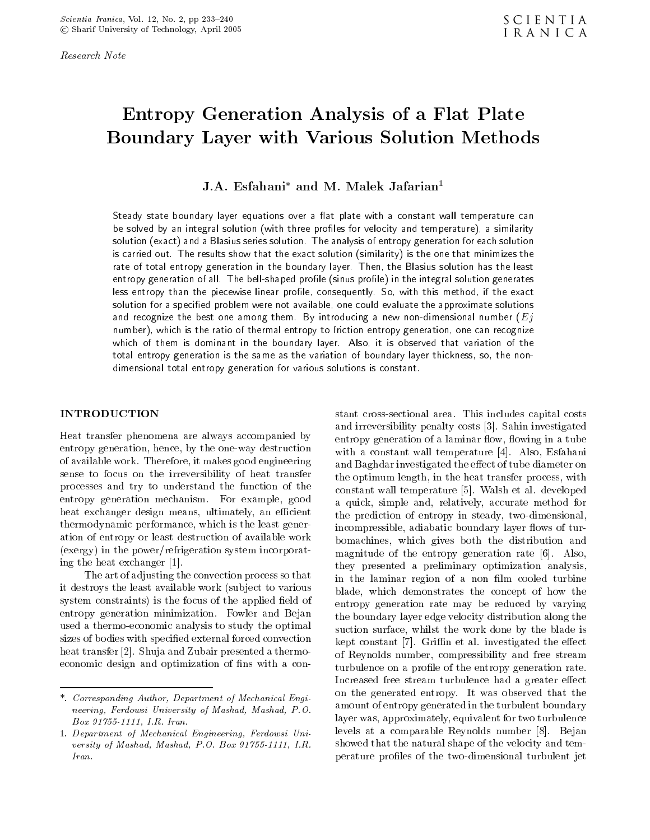Research Note

# Entropy Generation Analysis of a Flat Plate Boundary Layer with Various Solution Methods

# J.A. Esianani-and M. Malek Jalarian

Steady state boundary layer equations over a flat plate with a constant wall temperature can with the solution of velocity and temperature and temperature and temperature and temperature and temperature solution -exact and a Blasius series solution The analysis of entropy generation for each solution is carried out The results show that the exact solution -similarity is the one that minimizes the rate of total entropy generation in the boundary layer. Then, the Blasius solution has the least entropy generation of all The bellshaped prole prole prole prole in the integral solution generates less entropy than the piecewise linear profile, consequently. So, with this method, if the exact solution for a specified problem were not available, one could evaluate the approximate solutions and recognize the best one among them By introducing a new nondimensional number -Ejnumber), which is the ratio of thermal entropy to friction entropy generation, one can recognize which of them is dominant in the boundary layer. Also, it is observed that variation of the total entropy generation is the same as the variation of boundary layer thickness, so, the nondimensional total entropy generation for various solutions is constant.

### INTRODUCTION

Heat transfer phenomena are always accompanied by entropy generation hence by the one-way destruction of available work Therefore it makes good engineering sense to focus on the irreversibility of heat transfer processes and try to understand the function of the entropy generation mechanism. For example, good heat exchanger design means, ultimately, an efficient thermodynamic performance, which is the least generation of entropy or least destruction of available work  $(exery)$  in the power/refrigeration system incorporating the heat exchanger 

The art of adjusting the convection process so that it destroys the least available work (subject to various system constraints) is the focus of the applied field of entropy generation minimization. Fowler and Bejan used a thermo-thermo-thermo-thermo-thermo-the-mo-the-mo-the-mo-the-mo-the-mo-the-mo-the-mo-the-mo-the-mo-the-m sizes of bodies with specified external forced convection heat transfer transfer transfer transfer transfer transfer transfer transfer transfer transfer transfer transfer economic design and optimization of fins with a con-

 incompressible adiabatic boundary layer ows of turmagnitude of the entropy generation rate (0). Also, of Reynolds number compressibility and free stream turbulence on a prole of the entropy generation rate amount of entropy generated in the turbulent boundary stant cross-sectional area This includes capital costs and irreversibility penalty penalty penalty penalty penalty penalty penalty penalty penalty penalty penalty pe entropy generation of a laminar flow, flowing in a tube with a constant wall temperature  $\mathbb R$  . The constant wall temperature is a constant wall temperature in  $\mathbb R$ and Baghdar investigated the effect of tube diameter on the optimum length, in the heat transfer process, with communication and the matrix of all the states of the state of the state of the state of the state of the state of the state of the state of the state of the state of the state of the state of the state of the state of the a quick, simple and, relatively, accurate method for the prediction of entropy in steady two-dimensional bomachines, which gives both the distribution and they presented a preliminary optimization analysis in the laminar region of a non film cooled turbine blade, which demonstrates the concept of how the entropy generation rate may be reduced by varying the boundary layer edge velocity distribution along the suction surface, whilst the work done by the blade is kept constant in the eerste allows the eerste allows the extension of  $\Lambda$ Increased free stream turbulence had a greater effect on the generated entropy. It was observed that the layer was, approximately, equivalent for two turbulence levels at a comparable Reynolds number Bejan showed that the natural shape of the velocity and temperature proles of the two-dimensional turbulent jet

<sup>-</sup> Corresponding Author Department of Mechanical Engineering, Ferdowsi University of Mashad, Mashad, P.O. and the state of the state of the state of the state of the state of the state of the state of the state of the

<sup>-</sup> Department of Mechanical Engineering Ferdowsi University of Mashad Mashad Mashad Politics - Andrew Politics - Andrew Politics - Andrew Politics - Andrew Politi Iran.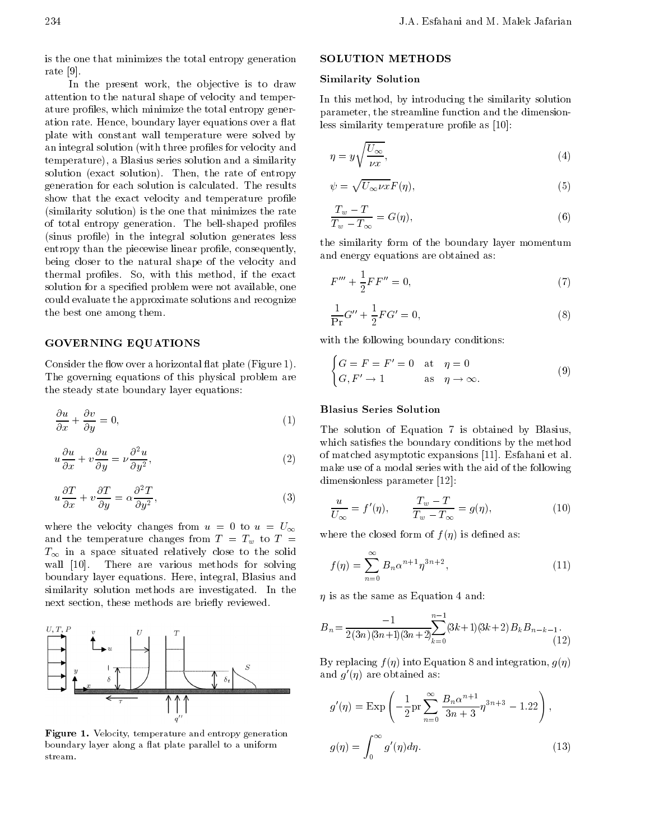is the one that minimizes the total entropy generation rate [9].

In the present work, the objective is to draw attention to the natural shape of velocity and temperature profiles, which minimize the total entropy generation rate. Hence, boundary layer equations over a flat plate with constant wall temperature were solved by an integral solution (with three profiles for velocity and temperature), a Blasius series solution and a similarity solution (exact solution). Then, the rate of entropy generation for each solution is calculated. The results show that the exact velocity and temperature profile (similarity solution) is the one that minimizes the rate of total entropy generation The bell-shaped proles (sinus profile) in the integral solution generates less entropy than the piecewise linear profile, consequently, being closer to the natural shape of the velocity and thermal profiles. So, with this method, if the exact solution for a specified problem were not available, one could evaluate the approximate solutions and recognize the best one among them

## GOVERNING EQUATIONS

Consider the flow over a horizontal flat plate  $(Figure 1)$ . The governing equations of this physical problem are the steady state boundary layer equations

$$
\frac{\partial u}{\partial x} + \frac{\partial v}{\partial y} = 0, \tag{1}
$$

$$
u\frac{\partial u}{\partial x} + v\frac{\partial u}{\partial y} = \nu \frac{\partial^2 u}{\partial y^2},\tag{2}
$$

$$
u\frac{\partial T}{\partial x} + v\frac{\partial T}{\partial y} = \alpha \frac{\partial^2 T}{\partial y^2},\tag{3}
$$

where the velocity changes from  $u = 0$  to  $u = U_{\infty}$ and the temperature changes from  $T = T_w$  to  $T =$  $T_{\infty}$  in a space situated relatively close to the solid wall in the solving  $\mathcal{I}$  is the various methods for solving  $\mathcal{I}$  is the solving of solving  $\mathcal{I}$ boundary layer equations. Here, integral, Blasius and similarity solution methods are investigated. In the next section, these methods are briefly reviewed.



Figure - Velocity temperature and entropy generation boundary layer along a flat plate parallel to a uniform stream.

## SOLUTION METHODS

#### Similarity Solution

 In this method by introducing the similarity solution parameter the streamline function and the dimensionless similarity temperature profile as  $[10]$ :

$$
\eta = y\sqrt{\frac{U_{\infty}}{\nu x}},\tag{4}
$$

$$
\psi = \sqrt{U_{\infty} \nu x} F(\eta),\tag{5}
$$

$$
\frac{T_w - T}{T_w - T_\infty} = G(\eta),\tag{6}
$$

the similarity form of the boundary layer momentum and energy equations are obtained as

$$
F''' + \frac{1}{2}FF'' = 0,\t\t(7)
$$

$$
\frac{1}{\Pr}G'' + \frac{1}{2}FG' = 0,\t\t(8)
$$

with the following boundary conditions:

$$
\begin{cases}\nG = F = F' = 0 & \text{at } \eta = 0 \\
G, F' \to 1 & \text{as } \eta \to \infty.\n\end{cases}
$$
\n(9)

# Blasius Series Solution

The solution of Equation 7 is obtained by Blasius, which satisfies the boundary conditions by the method of matched asymptotic expansions  $\mathbb{R}^n$  . The contract of all  $\mathbb{R}^n$  as a symptotic expansions of all  $\mathbb{R}^n$ make use of a modal series with the aid of the following dimensionless parameters paraquite

$$
\frac{u}{U_{\infty}} = f'(\eta), \qquad \frac{T_w - T}{T_w - T_{\infty}} = g(\eta), \tag{10}
$$

where the closed form of  $f(\eta)$  is defined as:

$$
f(\eta) = \sum_{n=0}^{\infty} B_n \alpha^{n+1} \eta^{3n+2},
$$
 (11)

is as the same as Equation and

$$
B_n = \frac{-1}{2(3n)(3n+1)(3n+2)} \sum_{k=0}^{n-1} (3k+1)(3k+2) B_k B_{n-k-1}.
$$
\n(12)

By replacing  $f(\eta)$  into Equation 8 and integration,  $g(\eta)$ and *q* (*n*) are obtained as:

$$
g'(\eta) = \operatorname{Exp}\left(-\frac{1}{2}\operatorname{pr}\sum_{n=0}^{\infty}\frac{B_n\alpha^{n+1}}{3n+3}\eta^{3n+3} - 1.22\right),
$$
  

$$
g(\eta) = \int_0^{\infty} g'(\eta)d\eta.
$$
 (13)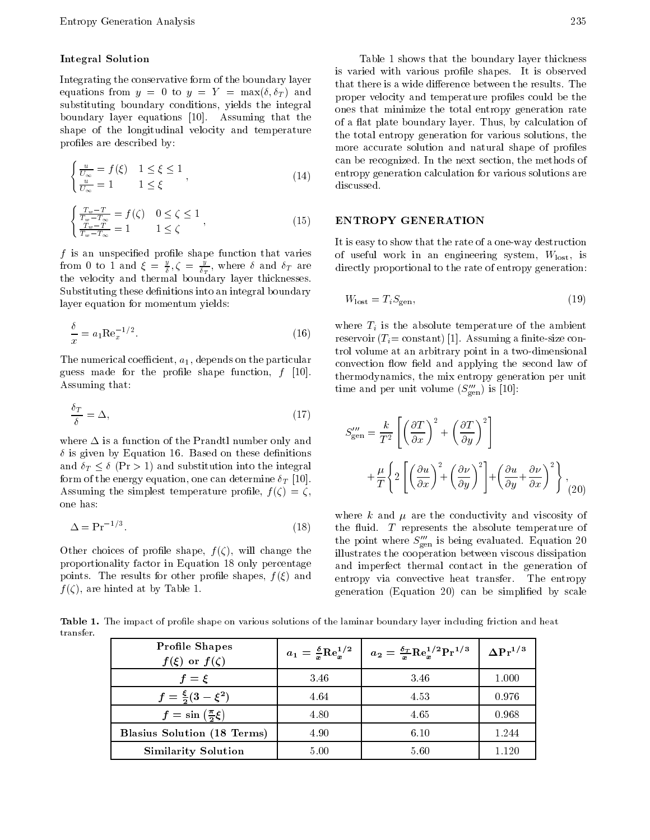### Integral Solution

Integrating the conservative form of the boundary layer equations from  $y = 0$  to  $y = 1$  = max $(v, v)$  and  $v$   $\sum_{n=0}^{\infty}$ substituting boundary conditions, yields the integral boundary layer equations in the contract of the contract of the contract of the contract of the contract of th shape of the longitudinal velocity and temperature profiles are described by:

$$
\begin{cases} \frac{u}{U_{\infty}} = f(\xi) & 1 \leq \xi \leq 1 \\ \frac{u}{U_{\infty}} = 1 & 1 \leq \xi \end{cases}
$$
\n(14)  $\frac{e}{d}$ 

$$
\begin{cases} \frac{T_w - T}{T_w - T_{\infty}} = f(\zeta) & 0 \le \zeta \le 1\\ \frac{T_w - T}{T_w - T_{\infty}} = 1 & 1 \le \zeta \end{cases},
$$
\n(15) **E**

f is an unspecied prole shape function that varies from 0 to 1 and  $\xi = \frac{2}{5}, \zeta = \frac{2}{5}$ , where 0 and  $\delta_T$  are di  $T$  to the state of the state of the state of the state of the state of the state of the state of the state of the state of the state of the state of the state of the state of the state of the state of the state of the st the velocity and thermal boundary layer thicknesses Substituting these definitions into an integral boundary layer equation for momentum yields

$$
\frac{\delta}{x} = a_1 \text{Re}_x^{-1/2}.
$$
\n(16)

The numerical coefficient,  $a_1$ , depends on the particular  $g_{\mu\nu}$  and  $g_{\mu\nu}$  for the proles shape function,  $f_{\mu\nu}$  from Assuming that

$$
\frac{\delta_T}{\delta} = \Delta,\tag{17}
$$

where  $\Delta$  is a function of the Prandtl number only and  $\mathcal{L}$  is given by Equation on the density of the density of the density of  $\mathcal{L}$ and  $\delta_T \leq \delta$  (Pr > 1) and substitution into the integral form of the energy equation one can determine T  $\mathbf{A}$  as summed the simplest temperature promise  $\mathbf{A}$ one has:

$$
\Delta = \Pr^{-1/3}.\tag{18}
$$

other choices of process shape f (A) change the change the change the shape f proportionality factor in Equation 18 only percentage points. The results for other profile shapes,  $f(\xi)$  and  $f$  ,  $f$  are the boundary  $f$  at  $f$  and  $f$  at  $f$  and  $f$  at  $f$  and  $f$  are  $f$  and  $f$  and  $f$  and  $f$  and  $f$  and  $f$  and  $f$  and  $f$  and  $f$  and  $f$  and  $f$  and  $f$  and  $f$  and  $f$  and  $f$  and  $f$  and  $f$  and  $f$  a

Table 1 shows that the boundary layer thickness is varied with various profile shapes. It is observed that there is a wide difference between the results. The proper velocity and temperature profiles could be the ones that minimize the total entropy generation rate of a flat plate boundary layer. Thus, by calculation of the total entropy generation for various solutions, the more accurate solution and natural shape of profiles can be recognized. In the next section, the methods of entropy generation calculation for various solutions are discussed

## ENTROPY GENERATION

It is easy to show that the rate of a one-way destruction of a one-way destruction of a one-way destruction of of useful work in an engineering system Wlost is directly proportional to the rate of entropy generation:

$$
W_{\text{lost}} = T_i S_{\text{gen}},\tag{19}
$$

where  $T_i$  is the absolute temperature of the ambient  $\mathbf{r}$  and  $\mathbf{r}$  are  $\mathbf{r}$  and  $\mathbf{r}$  are  $\mathbf{r}$  and  $\mathbf{r}$  and  $\mathbf{r}$  and  $\mathbf{r}$ trol volume at an arbitrary point in a two-dimensional convection flow field and applying the second law of thermodynamics, the mix entropy generation per unit time and per unit volume  $(\mathcal{D}_{gen})$  is [10].

$$
S_{\text{gen}}^{\prime\prime\prime} = \frac{k}{T^2} \left[ \left( \frac{\partial T}{\partial x} \right)^2 + \left( \frac{\partial T}{\partial y} \right)^2 \right] + \frac{\mu}{T} \left\{ 2 \left[ \left( \frac{\partial u}{\partial x} \right)^2 + \left( \frac{\partial v}{\partial y} \right)^2 \right] + \left( \frac{\partial u}{\partial y} + \frac{\partial v}{\partial x} \right)^2 \right\},\tag{20}
$$

where  $k$  and  $\mu$  are the conductivity and viscosity of the fluid.  $T$  represents the absolute temperature of the point where  $S_{\text{gen}}$  is being evaluated. Equation 20 illustrates the cooperation between viscous dissipation and imperfect thermal contact in the generation of entropy via convective heat transfer. The entropy generation (Equation 20) can be simplified by scale

Table - The impact of promise shape on various solutions of the laminar boundary layer including friction and h  $transfer.$ 

| <b>Profile Shapes</b><br>$f(\xi)$ or $f(\zeta)$ |      | $a_1 = \frac{\delta}{x} \text{Re}_x^{1/2}$ $a_2 = \frac{\delta_T}{x} \text{Re}_x^{1/2} \text{Pr}^{1/3}$ | $\Delta \mathrm{Pr}^{1/3}$ |
|-------------------------------------------------|------|---------------------------------------------------------------------------------------------------------|----------------------------|
| $f=\xi$                                         | 3.46 | 3.46                                                                                                    | 1.000                      |
| $f = \frac{\xi}{2}(3 - \xi^2)$                  | 4.64 | 4.53                                                                                                    | 0.976                      |
| $f = \sin\left(\frac{\pi}{2}\xi\right)$         | 4.80 | 4.65                                                                                                    | 0.968                      |
| <b>Blasius Solution (18 Terms)</b>              | 4.90 | 6.10                                                                                                    | 1.244                      |
| <b>Similarity Solution</b>                      | 5.00 | 5.60                                                                                                    | 1.120                      |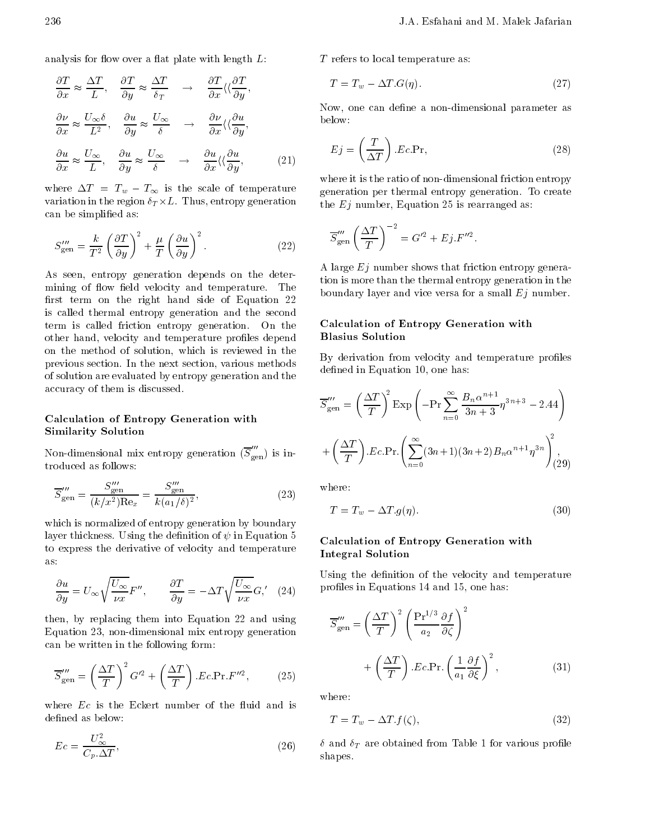analysis for flow over a flat plate with length  $L$ :

$$
\frac{\partial T}{\partial x} \approx \frac{\Delta T}{L}, \quad \frac{\partial T}{\partial y} \approx \frac{\Delta T}{\delta_T} \quad \rightarrow \quad \frac{\partial T}{\partial x} \langle \langle \frac{\partial T}{\partial y}, \frac{\partial T}{\partial x} \rangle \rangle
$$

$$
\frac{\partial \nu}{\partial x} \approx \frac{U_{\infty} \delta}{L^2}, \quad \frac{\partial u}{\partial y} \approx \frac{U_{\infty}}{\delta} \quad \rightarrow \quad \frac{\partial \nu}{\partial x} \langle \langle \frac{\partial u}{\partial y}, \frac{\partial u}{\partial x} \rangle \rangle
$$

$$
\frac{\partial u}{\partial x} \approx \frac{U_{\infty}}{L}, \quad \frac{\partial u}{\partial y} \approx \frac{U_{\infty}}{\delta} \quad \rightarrow \quad \frac{\partial u}{\partial x} \langle \langle \frac{\partial u}{\partial y}, \frac{\partial u}{\partial y} \rangle \tag{21}
$$

where  $\Delta T = T_w - T_{\infty}$  is the scale of temperature variation in the region  $\delta_T \times L$ . Thus, entropy generation can be simplified as:

$$
S_{\text{gen}}''' = \frac{k}{T^2} \left(\frac{\partial T}{\partial y}\right)^2 + \frac{\mu}{T} \left(\frac{\partial u}{\partial y}\right)^2.
$$
 (22)

As seen, entropy generation depends on the determining of flow field velocity and temperature. The first term on the right hand side of Equation  $22$ is called thermal entropy generation and the second term is called friction entropy generation On the other hand, velocity and temperature profiles depend on the method of solution, which is reviewed in the previous section. In the next section, various methods of solution are evaluated by entropy generation and the accuracy of them is discussed

## Calculation of Entropy Generation with Similarity Solution

Non-dimensional mix entropy generation  $(S_{\scriptscriptstyle \rm gen})$  is introduced as follows

$$
\overline{S}'''_{\text{gen}} = \frac{S'''_{\text{gen}}}{(k/x^2)\text{Re}_x} = \frac{S'''_{\text{gen}}}{k(a_1/\delta)^2},\tag{23}
$$

which is normalized of entropy generation by boundary layer thickness. Using the definition of  $\psi$  in Equation 5 to express the derivative of velocity and temperature as

$$
\frac{\partial u}{\partial y} = U_{\infty} \sqrt{\frac{U_{\infty}}{\nu x}} F'', \qquad \frac{\partial T}{\partial y} = -\Delta T \sqrt{\frac{U_{\infty}}{\nu x}} G', \quad (24) \qquad \text{P}
$$

then, by replacing them into Equation 22 and using Equation 
 non-dimensional mix entropy generation can be written in the following form

$$
\overline{S}'''_{\text{gen}} = \left(\frac{\Delta T}{T}\right)^2 G'^2 + \left(\frac{\Delta T}{T}\right) . Ec. \text{Pr.}F''^2,\tag{25}
$$

where  $Ec$  is the Eckert number of the fluid and is defined as below:

$$
Ec = \frac{U_{\infty}^2}{C_p \cdot \Delta T},\tag{26}
$$

T refers to local temperature as

$$
T = T_w - \Delta T \cdot G(\eta). \tag{27}
$$

Now one can dene a non-dimensional parameter as below

$$
Ej = \left(\frac{T}{\Delta T}\right).Ec.Pr,
$$
\n(28)

where it is the ratio of non-non-theoretic control friction  $\mu_{\rm d}$ generation per thermal entropy generation To create the  $Ej$  number, Equation 25 is rearranged as:

$$
\overline{S}'''_{\text{gen}} \left(\frac{\Delta T}{T}\right)^{-2} = G'^2 + Ej.F''^2.
$$

 tion is more than the thermal entropy generation in the A large  $Ej$  number shows that friction entropy generaboundary layer and vice versa for a small  $Ej$  number.

## Calculation of Entropy Generation with Blasius Solution

By derivation from velocity and temperature profiles defined in Equation 10, one has:

$$
\overline{S}_{\text{gen}}^{\prime\prime\prime} = \left(\frac{\Delta T}{T}\right)^2 \text{Exp}\left(-\text{Pr}\sum_{n=0}^{\infty} \frac{B_n \alpha^{n+1}}{3n+3} \eta^{3n+3} - 2.44\right)
$$

$$
+\left(\frac{\Delta T}{T}\right) \cdot Ec.\text{Pr}\left(\sum_{n=0}^{\infty} (3n+1)(3n+2)B_n \alpha^{n+1} \eta^{3n}\right)^2\right),\tag{29}
$$

$$
T = T_w - \Delta T \, g(\eta). \tag{30}
$$

## Calculation of Entropy Generation with Integral Solution

Using the definition of the velocity and temperature profiles in Equations  $14$  and  $15$ , one has:

$$
\overline{S}_{\text{gen}}''' = \left(\frac{\Delta T}{T}\right)^2 \left(\frac{\text{Pr}^{1/3} \partial f}{a_2 \partial \zeta}\right)^2 + \left(\frac{\Delta T}{T}\right) . Ec.\text{Pr.} \left(\frac{1}{a_1} \frac{\partial f}{\partial \xi}\right)^2, \tag{31}
$$

where:

$$
T = T_w - \Delta T . f(\zeta), \qquad (32)
$$

and the Table of the Table of Table of Table of the State of the Personal Proletion of the United States of the shapes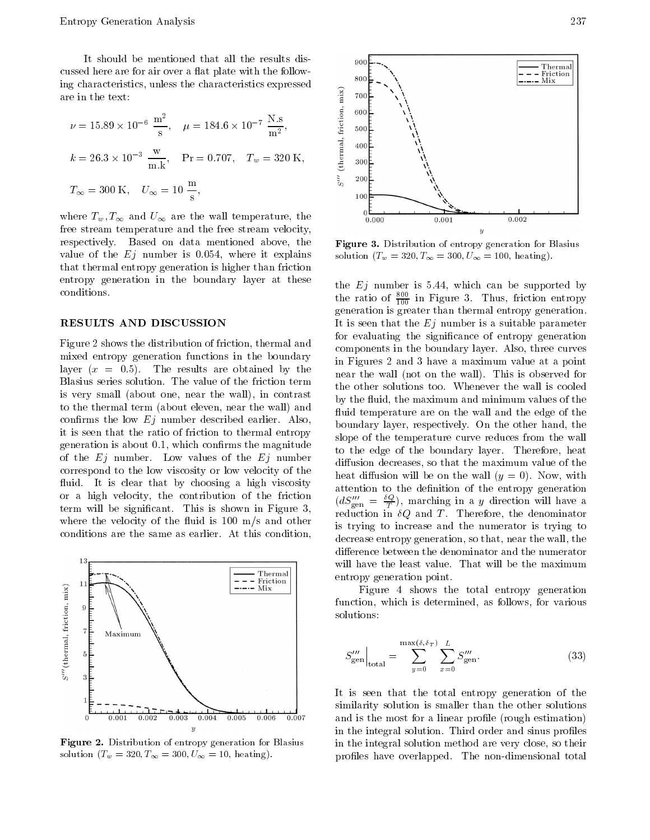It should be mentioned that all the results discussed here are for air over a flat plate with the followare in the text

ing characteristics, unless the characteristics expressed  
\nare in the text:  
\n
$$
\nu = 15.89 \times 10^{-6} \frac{\text{m}^2}{\text{s}}, \quad \mu = 184.6 \times 10^{-7} \frac{\text{N.s}}{\text{m}^2},
$$
\n
$$
k = 26.3 \times 10^{-3} \frac{\text{w}}{\text{m.k}}, \quad \text{Pr} = 0.707, \quad T_w = 320 \text{ K},
$$
\n
$$
T_{\infty} = 300 \text{ K}, \quad U_{\infty} = 10 \frac{\text{m}}{\text{s}},
$$

where  $T_{w_1}, T_{\infty}$  and  $U_{\infty}$  are the wall temperature, the free stream temperature and the free stream velocity respectively. Based on data mentioned above, the value of the  $E_j$  number is 0.054, where it explains that thermal entropy generation is higher than friction entropy generation in the boundary layer at these conditions

#### RESULTS AND DISCUSSION

Figure 2 shows the distribution of friction, thermal and mixed entropy generation functions in the boundary layer  $(x = 0.5)$ . The results are obtained by the Blasius series solution The value of the friction term is very small (about one, near the wall), in contrast to the thermal term (about eleven, near the wall) and confirms the low  $E_j$  number described earlier. Also, it is seen that the ratio of friction to thermal entropy generation is about  $0.1$ , which confirms the magnitude of the  $Ej$  number. Low values of the  $Ej$  number correspond to the low viscosity or low velocity of the fluid. It is clear that by choosing a high viscosity or a high velocity, the contribution of the friction term will be significant. This is shown in Figure 3, where the velocity of the fluid is 100  $\text{m/s}$  and other conditions are the same as earlier. At this condition,



Figure - Distribution of entropy generation for Blasius solution Tw T U heating-



Figure - Distribution of entropy generation for Blasius solution Tw T U heating-

the  $Ej$  number is 5.44, which can be supported by the ratio of  $\frac{300}{100}$  in Figure 3. Thus, friction entropy generation is greater than thermal entropy generation It is seen that the  $Ej$  number is a suitable parameter for evaluating the significance of entropy generation components in the boundary layer. Also, three curves in Figures 2 and 3 have a maximum value at a point near the wall (not on the wall). This is observed for the other solutions too. Whenever the wall is cooled by the fluid, the maximum and minimum values of the fluid temperature are on the wall and the edge of the boundary layer, respectively. On the other hand, the slope of the temperature curve reduces from the wall to the edge of the boundary layer. Therefore, heat diffusion decreases, so that the maximum value of the heat diffusion will be on the wall  $(y = 0)$ . Now, with attention to the definition of the entropy generation  $(a\Delta_{\text{gen}}^{\text{on}}=\frac{1}{T}),$  marching in a y direction will have a reduction in  $\delta Q$  and T. Therefore, the denominator is trying to increase and the numerator is trying to decrease entropy generation, so that, near the wall, the difference between the denominator and the numerator will have the least value. That will be the maximum entropy generation point

Figure 4 shows the total entropy generation function, which is determined, as follows, for various solutions

$$
S_{\text{gen}}''' \Big|_{\text{total}} = \sum_{y=0}^{\max(\delta, \delta_T)} \sum_{x=0}^{L} S_{\text{gen}}'''.
$$
 (33)

It is seen that the total entropy generation of the similarity solution is smaller than the other solutions and is the most for a linear profile (rough estimation) in the integral solution. Third order and sinus profiles in the integral solution method are very close, so their proles have overlapped The non-dimensional total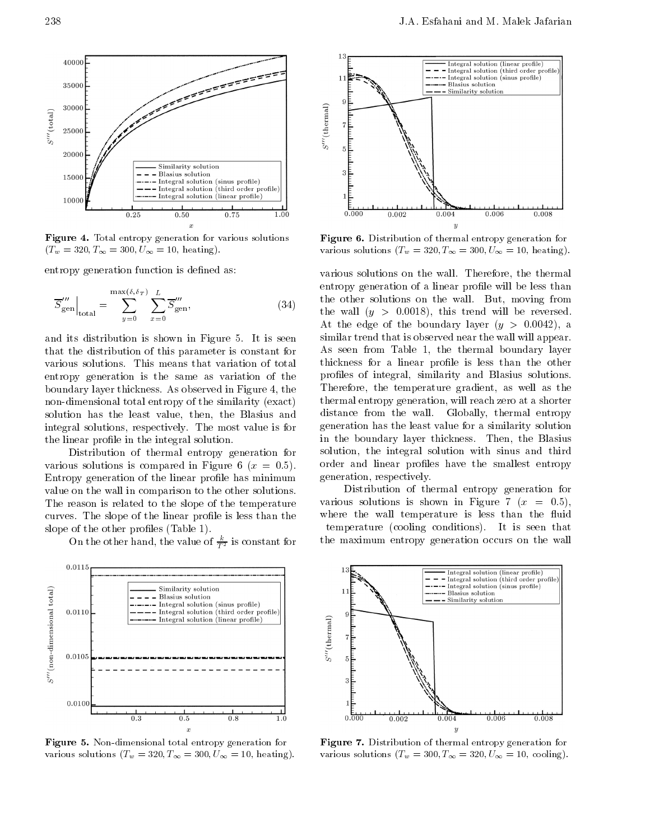

Figure - Total entropy generation for various solutions  $\mathcal{L}_{\mathcal{U}}$  .  $\mathcal{L}_{\mathcal{U}}$  .  $\mathcal{L}_{\mathcal{U}}$  .  $\mathcal{L}_{\mathcal{U}}$  . The  $\mathcal{L}_{\mathcal{U}}$ 

entropy generation function is defined as:

$$
\overline{S}^{\prime\prime\prime}_{\text{gen}}\Big|_{\text{total}} = \sum_{y=0}^{\max(\delta,\delta_T)} \sum_{x=0}^{L} \overline{S}^{\prime\prime\prime}_{\text{gen}},
$$
\n(34)

and its distribution is shown in Figure 5. It is seen that the distribution of this parameter is constant for various solutions This means that variation of total entropy generation is the same as variation of the boundary layer thickness. As observed in Figure 4, the non-dimensional total entropy of the similar entropy of the similar entropy of the similar entropy of the similar exact exact exact exact exact exact exact exact exact exact exact exact exact exact exact exact exact exact solution has the least value, then, the Blasius and integral solutions, respectively. The most value is for the linear profile in the integral solution.

Distribution of thermal entropy generation for various solutions is compared in Figure 6 ( $x = 0.5$ ). Entropy generation of the linear profile has minimum value on the wall in comparison to the other solutions The reason is related to the slope of the temperature curves. The slope of the linear profile is less than the slope of the other profiles  $(Table 1)$ .

On the other hand, the value of  $\overline{T^2}$  is constant for  $\overline{ }$ 



Figure - Non
dimensional total entropy generation for various solutions  $\{x_{ij}, \dots, x_{j+1}\}$  solutions to the solutions of  $\{x_{ij}, \dots, x_{j+1}\}$ 



Figure - Distribution of thermal entropy generation for various solutions  $\{x_0, \ldots, x_N\}$  over  $\infty$  . The neutring  $\mu$ 

various solutions on the wall. Therefore, the thermal entropy generation of a linear profile will be less than the other solutions on the wall. But, moving from the wall  $(y > 0.0018)$ , this trend will be reversed. At the edge of the boundary layer  $(y > 0.0042)$ , a similar trend that is observed near the wall will appear As seen from Table 1, the thermal boundary layer thickness for a linear profile is less than the other profiles of integral, similarity and Blasius solutions. Therefore, the temperature gradient, as well as the thermal entropy generation, will reach zero at a shorter distance from the wall. Globally, thermal entropy generation has the least value for a similarity solution in the boundary layer thickness. Then, the Blasius solution, the integral solution with sinus and third order and linear profiles have the smallest entropy generation, respectively.

Distribution of thermal entropy generation for various solutions is shown in Figure 7  $(x = 0.5)$ , where the wall temperature is less than the fluid temperature (cooling conditions). It is seen that the maximum entropy generation occurs on the wall



Figure - Distribution of thermal entropy generation for various solutions Tw T U cooling-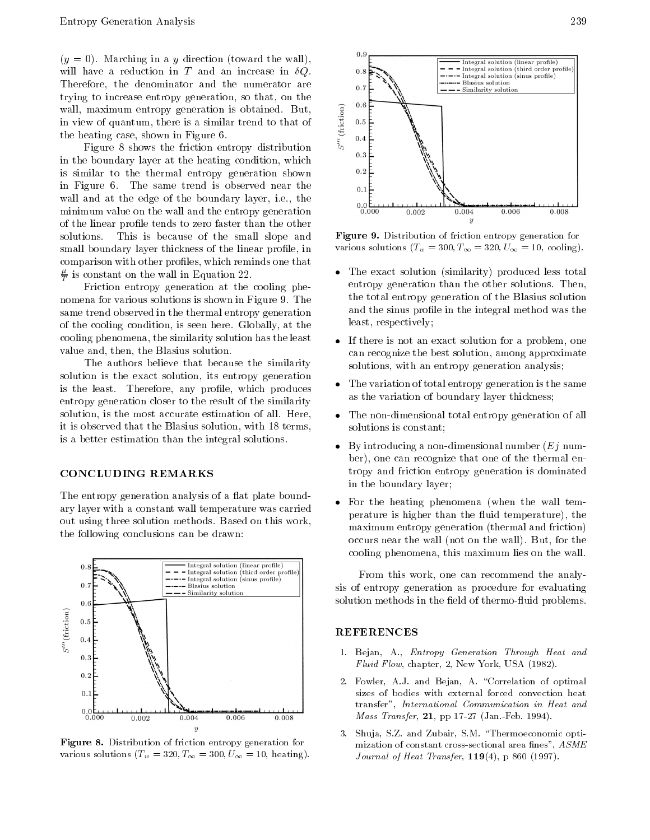$(y = 0)$ . Marching in a y direction (toward the wall), will have a reduction in T and an increase in  $\delta Q$ . Therefore, the denominator and the numerator are trying to increase entropy generation, so that, on the wall, maximum entropy generation is obtained. But, in view of quantum, there is a similar trend to that of the heating case, shown in Figure  $6$ .

Figure 8 shows the friction entropy distribution  $\delta$  0.3 in the boundary layer at the heating condition, which is similar to the thermal entropy generation shown in Figure 6. The same trend is observed near the wall and at the edge of the boundary layer, i.e., the minimum value on the wall and the entropy generation of the linear profile tends to zero faster than the other solutions. This is because of the small slope and small boundary layer thickness of the linear profile, in comparison with other profiles, which reminds one that  $\frac{\tau}{T}$  is constant on the wall in Equation 22.

Friction entropy generation at the cooling phenomena for various solutions is shown in Figure 9. The same trend observed in the thermal entropy generation of the cooling condition, is seen here. Globally, at the cooling phenomena, the similarity solution has the least value and, then, the Blasius solution.

The authors believe that because the similarity solution is the exact solution, its entropy generation is the least. Therefore, any profile, which produces entropy generation closer to the result of the similarity solution, is the most accurate estimation of all. Here, it is observed that the Blasius solution, with 18 terms, is a better estimation than the integral solutions

#### CONCLUDING REMARKS

The entropy generation analysis of a flat plate boundary layer with a constant wall temperature was carried out using three solution methods. Based on this work, the following conclusions can be drawn



Figure - Distribution of friction entropy generation for various solutions  $\left( \pm n \right)$  see  $\left( \pm \right)$  see  $\left( x \right)$  from  $\pm \infty$ 



Figure - Distribution of friction entropy generation for  $\sum_{i=1}^{n}$  is the solution  $\sum_{i=1}^{n}$  and  $\sum_{i=1}^{n}$  is the solution of  $\sum_{i=1}^{n}$ 

- The exact solution (similarity) produced less total entropy generation than the other solutions. Then, the total entropy generation of the Blasius solution and the sinus profile in the integral method was the least, respectively;
- If there is not an exact solution for a problem, one can recognize the best solution, among approximate solutions, with an entropy generation analysis;
- The variation of total entropy generation is the same as the variation of boundary layer thickness
- $\bullet$  The non-dimensional total entropy generation of all solutions is constant
- By introducing a non-dimensional number Ej number), one can recognize that one of the thermal entropy and friction entropy generation is dominated in the boundary layer
- $\bullet$ For the heating phenomena (when the wall temperature is higher than the fluid temperature), the maximum entropy generation (thermal and friction) occurs near the wall (not on the wall). But, for the cooling phenomena, this maximum lies on the wall.

From this work, one can recommend the analysis of entropy generation as procedure for evaluating solution methods in the eld of thermo-uid problems

#### REFERENCES

- - Bejan A-, Barrier Through Heat and A-, Barrier Through Heat and A-, Barrier A-, A-, A-, A-, A-, A-, A-, A- $\mathbf{F}$  . The chapter of the contract  $\mathbf{F}$  is the contract of the contract of the contract of the contract of the contract of the contract of the contract of the contract of the contract of the contract of the contra
- Fowler A-B-strategies A-B-strategies A-B-strategies A-B-strategies A-B-strategies A-B-strategies A-B-strategies A-B-strategies A-B-strategies A-B-strategies A-B-strategies A-B-strategies A-B-strategies A-B-strategies A-B sizes of bodies with external forced convection heat transfer", International Communication in Heat and Mass Transfer pp Jan-Feb- -
- - Shuja S-Z- and Zubair S-M- Thermoeconomic opti mization of constant cross-sectional area fines",  $ASME$ . The set of the following the following the following  $\mathcal{L}_1$